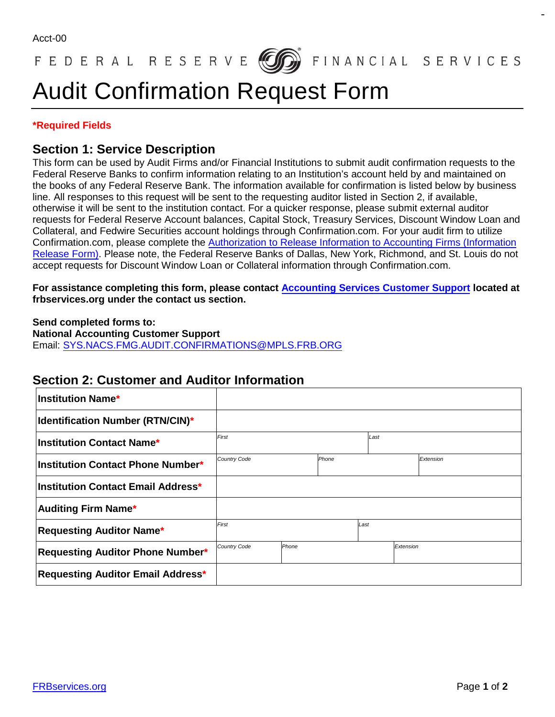## FEDERAL RESERVE **600** FINANCIAL SERVICES

# Audit Confirmation Request Form

#### **\*Required Fields**

#### **Section 1: Service Description**

This form can be used by Audit Firms and/or Financial Institutions to submit audit confirmation requests to the Federal Reserve Banks to confirm information relating to an Institution's account held by and maintained on the books of any Federal Reserve Bank. The information available for confirmation is listed below by business line. All responses to this request will be sent to the requesting auditor listed in Section 2, if available, otherwise it will be sent to the institution contact. For a quicker response, please submit external auditor requests for Federal Reserve Account balances, Capital Stock, Treasury Services, Discount Window Loan and Collateral, and Fedwire Securities account holdings through Confirmation.com. For your audit firm to utilize Confirmation.com, please complete the Authorization to Release [Information to Accounting Firms \(Information](https://www.frbservices.org/assets/forms/accounting/authorization-to-release-account-information.pdf)  [Release Form\).](https://www.frbservices.org/assets/forms/accounting/authorization-to-release-account-information.pdf) Please note, the Federal Reserve Banks of Dallas, New York, Richmond, and St. Louis do not accept requests for Discount Window Loan or Collateral information through Confirmation.com.

**For assistance completing this form, please contact Accounting [Services Customer Support](https://www.frbservices.org/contacts/index.jsp#account-services) located at frbservices.org under the contact us section.** 

**Send completed forms to:** 

**National Accounting Customer Support**  Email: [SYS.NACS.FMG.AUDIT.CONFIRMATIONS@MPLS.FRB.ORG](mailto:sys.nacs.fmg.audit.confirmations@mpls.frb.org)

#### **Section 2: Customer and Auditor Information**

| <b>Institution Name*</b>                |                              |       |  |           |  |           |
|-----------------------------------------|------------------------------|-------|--|-----------|--|-----------|
| <b>Identification Number (RTN/CIN)*</b> |                              |       |  |           |  |           |
| <b>Institution Contact Name*</b>        | First                        |       |  | Last      |  |           |
| Institution Contact Phone Number*       | <b>Country Code</b><br>Phone |       |  |           |  | Extension |
| Institution Contact Email Address*      |                              |       |  |           |  |           |
| <b>Auditing Firm Name*</b>              |                              |       |  |           |  |           |
| <b>Requesting Auditor Name*</b>         | First                        |       |  | Last      |  |           |
| <b>Requesting Auditor Phone Number*</b> | <b>Country Code</b>          | Phone |  | Extension |  |           |
| Requesting Auditor Email Address*       |                              |       |  |           |  |           |

 $\sim$